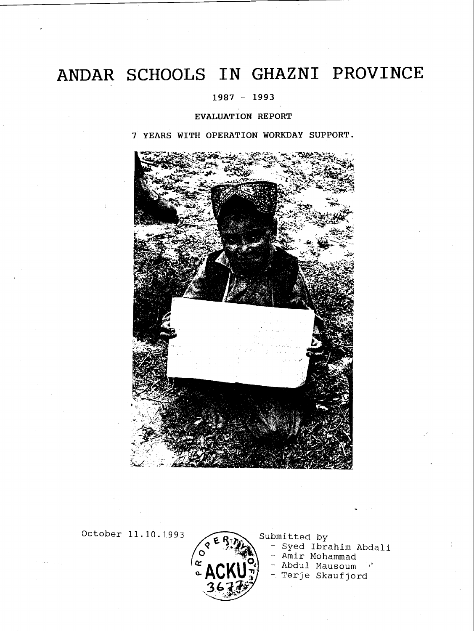# ANDAR SCHOOLS IN GHAZNI PROVINCE

### 1987 - 1993

### EVALUATION REPORT

7 YEARS WITH OPERATION WORKDAY SUPPORT.



October 11.10.1993  $\epsilon$  R<sub>3</sub> $\epsilon$  Submitted by



- Syed Ibrahim Abdali

- Amir Mohammad

 $\mathbf{Q}$  - Abdul Mausoum

- Terje Skaufjord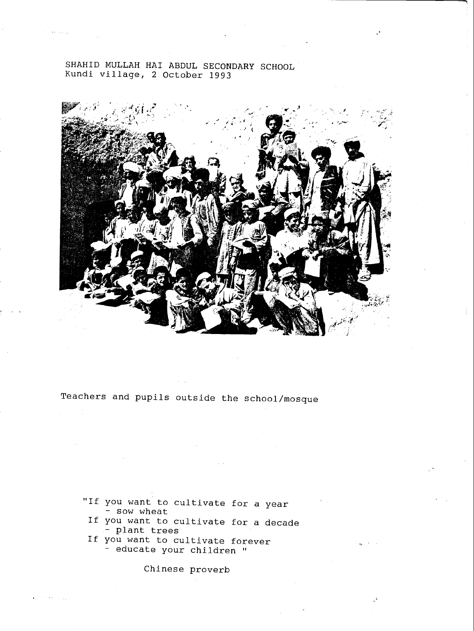SHAHID MULLAH HAI ABDUL SECONDARY SCHOOL Kundi village, 2 October 1993



Teachers and pupils outside the school /mosque

- "If you want to cultivate for a year<br>- sow wheat
- If you want to cultivate for a decade plant trees
- If you want to cultivate forever - educate your children "

Chinese proverb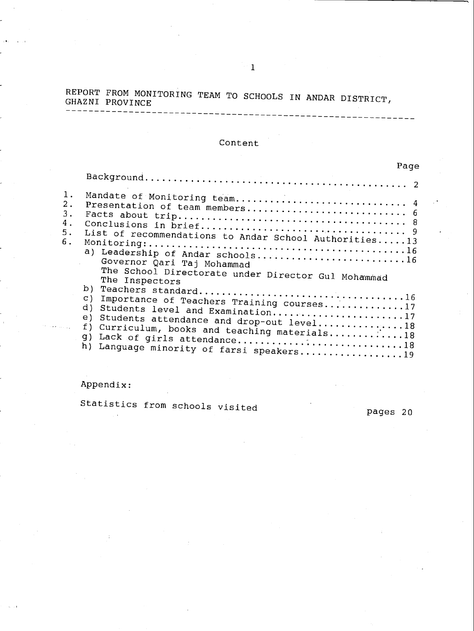# REPORT FROM MONITORING TEAM TO SCHOOLS IN ANDAR DISTRICT, GHAZNI PROVINCE

## Content

|                               | Page                                                                                                                                                                                                                                                                                        |  |
|-------------------------------|---------------------------------------------------------------------------------------------------------------------------------------------------------------------------------------------------------------------------------------------------------------------------------------------|--|
|                               |                                                                                                                                                                                                                                                                                             |  |
| $1$ .<br>2.<br>З.<br>4.<br>5. | Mandate of Monitoring team 4                                                                                                                                                                                                                                                                |  |
| 6.                            | List of recommendations to Andar School Authorities13<br>a) Leadership of Andar schools16<br>Governor Qari Taj Mohammad<br>The School Directorate under Director Gul Mohammad<br>The Inspectors                                                                                             |  |
|                               | $\subset$ )<br>Importance of Teachers Training courses17<br>d)<br>Students level and Examination17<br>e)<br>Students attendance and drop-out level18<br>f)<br>Curriculum, books and teaching materials18<br>q)<br>Lack of girls attendance18<br>h)<br>Language minority of farsi speakers19 |  |

## Appendix:

Statistics from schools visited pages 20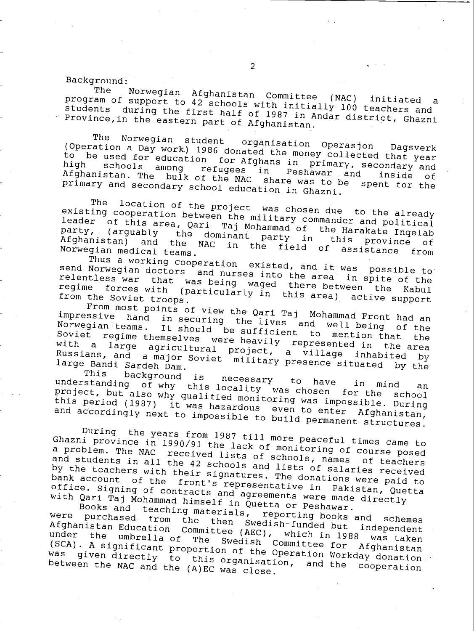Background:<br>The Norwegian Afghanistan Committee program of support to 42 schoo The Norwegian Afghanistan Committee (NAC) initiated a<br>program of support to 42 schools with initially 100 teachers and<br>students during the first half of 1987 in Andar district, Ghazni<br>Province,in the eastern part of Afghan

The Norwegian student organisation Operasjon Dagsverk<br>Operation a Day work) 1986 donated the money collected that year (Operation for Afghans in primary, secondary and<br>high schools among refugees in Peshawar and inside of<br>Afghanistan The bulk of the Might schowar and inside of Afghanistan. The bulk of the NAC share was to be spent for the<br>primary and secondary school education in Ghazni.

existing cooperation between The location of the project was chosen due to the already<br>existing cooperation between the military commander and political<br>leader of this area, Qari Taj Mohammad of the Harakate Ingelab<br>party, (arguably the dominant party party, (arguably the dominant party in the Afghanistan) and the NAC in the field of leader of this area, Qari Taj Mohammad of the Harakate Ingelab<br>party, (arguably the dominant party in this province of<br>Afghanistan) and the NAC in the field of assistance from Norwegian medical teams. the field of assistance from

Thus a working cooperation existed, and it was possible to<br>send Norwegian doctors and nurses into the area in criteral relentless war that was being waged there area in spite of the<br>relentless war that was being waged there between the Kabi send Norwegian doctors and nurses into the area in spite of the<br>relentless war that was being waged there between the Kabul<br>regime forces with (particularly in this area) active support<br>from the Soviet troops.

From most points of view the Qari Taj Mohammad Front had an Norwegian teams. It should be sufficient to mention that impressive hand in securing the lives and well being of the Soviet regime themselves were heavily represented in the area with a large agricultural project, a village inhabited by Russians, and a major Soviet military presence situated by the<br>large Bandi Sardeh Dam.<br>This background is necessary to be a

understanding of why This background is ne kyround is necessary to have in mind an<br>of why this locality was chosen for the sabel project, but also why qualified monitoring was impossible. During<br>this period (1987) it was hazardous even to enter Afghanistan,<br>and accordingly next to impossible to build permanent structures.<br>During the years from 1987

Ghazni province in 1990/91 the lack of monitoring of course posed<br>a problem. The NAC received lists of schools, names of teachers<br>and students in all the 42 schools and lists of salaries received a problem. The NAC received lists of schools, names of teachers by the teachers with their signatures. The donations were paid to<br>bank account of the front's representative in Pakistan, Quetta<br>office. Signing of contracts and agreements were made directly<br>with Qari Taj Mohammad himself

Books and teaching materials, reporting books and schemes<br>were purchased from the then Swedish-funded but independent Afghanistan Education Committee (AEC), which in 1988 was taken<br>under the umbrella of The Swedish Committee for Afghanistan<br>(SCA). A significant proportion of the Operation Workday donation.<br>was given directly to this organ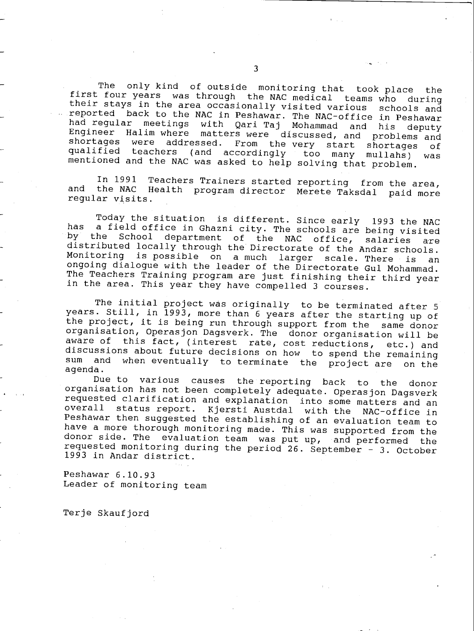The only kind of outside monitoring that took place the<br>first four years was through the NAC medical teams who during<br>their stays in the area occasionally visited various schools and<br>reported back to the NAC in Peshawar. T

In 1991 Teachers Trainers started reporting from the area, and the NAC Health program director Merete Taksdal paid more regular visits.

Today the situation is different. Since early 1993 the NAC<br>has a field office in Ghazni city. The schools are being visited<br>by the School department of the NAC office, salaries are<br>distributed locally through the Directora Monitoring is possible on a much larger scale. There is an ongoing dialogue with the leader of the Directorate Gul Mohammad. The Teachers Training program are just finishing their third year in the area. This year they have compelled 3 courses.

The initial project was originally to be terminated after 5 years. Still, in 1993, more than 6 years after the starting up of the project, it is being run through support from the same donor<br>organisation, Operasjon Dagsverk. The donor organisation will be aware of this fact, (interest rate, cost reductions, etc.) and<br>discussions about future decisions on how to spend the remaining<br>sum and when eventually to terminate the project are spulled sum and when eventually to terminate the project are on the<br>agenda.<br>Due to various causes the reporting back to the donor

organisation has not been completely adequate. Operasjon Dagsverk<br>requested clarification and explanation into some matters and an overall status report. Kjersti Austdal with the NAC-office in Peshawar then suggested the establishing of an evaluation team to<br>have a more thorough monitoring made. This was supported from the donor side. The evaluation team was put up, and performed the requested monitoring during the period 26. September - 3. October 1993 in Andar district.

Peshawar 6.10.93 Leader of monitoring team

Terje Skaufjord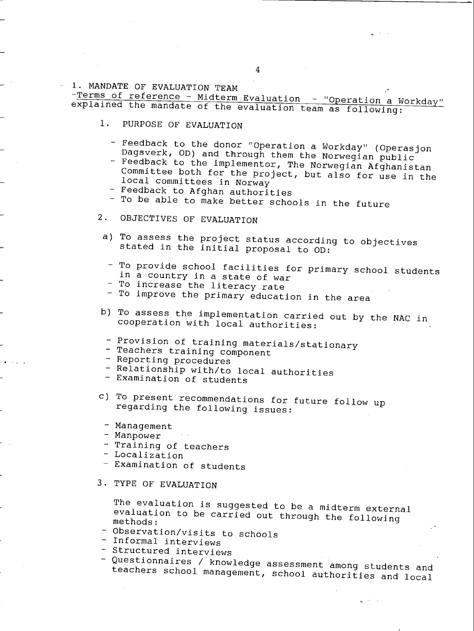1. MANDATE OF EVALUATION TEAM<br>-Terms of reference - Midterm Evaluation - "Operation a Workday" explained the mandate of the evaluation team as following:

- 1. PURPOSE OF EVALUATION
	- Feedback to the donor "Operation a Workday" (Operasjon
	- Dagsverk, OD) and through them the Norwegian public<br>- Feedback to the implementor, The Norwegian Afghanistan Committee both for the project, but also for use in the local committees in Norway
	- Feedback to Afghan authorities
	- To be able to make better schools in the future
- 2. OBJECTIVES OF EVALUATION
	- a) To assess the project status according to objectives stated in the initial proposal to OD:
		- To provide school facilities for primary school students in a country in a state of war
		- To increase the literacy rate
		- $-$  To improve the primary education in the area
- b) To assess the implementation carried out by the NAC in cooperation with local authorities:
	- Provision of training materials/stationary<br>- Teachers training component
	-
	- Reporting procedures
	- Relationship with/to local authorities<br>- Examination of students
	-
- c) To present recommendations for future follow up regarding the following issues:
	- Management
	- Manpower
	- Training of teachers
- Localization
- Examination of students
- 3. TYPE OF EVALUATION

The evaluation is suggested to be a midterm external evaluation to be carried out through the following methods:

- Observation/visits to schools
- Informal interviews
- Structured interviews
- Questionnaires / knowledge assessment among students and teachers school management, school authorities and local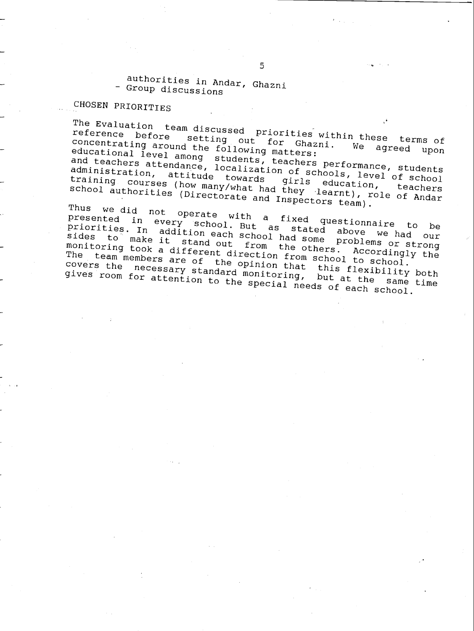authorities in Andar, Ghazni - Group discussions

## CHOSEN PRIORITIES

The Evaluation team discussed priorities within these terms of<br>reference before setting out for Ghazni. We asser ims of reference before setting out for Ghazni. We agreed upon<br>concentrating around the following matters: We agreed upon<br>educational level among reference before setting out for Ghazni. We agreed upon<br>concentrating around the following matters:<br>educational level among students, teachers performance, students<br>and teachers attendance, localization of schools, level o and teachers attendance, localization of schools, level of school<br>administration, attitude towards girls education, teachers<br>training courses (how many/what had they learnt), role of Andar<br>school authorities (Directorate a training courses (how many/what had they learnt), role of Andar

Thus we did not operate with a fixed questionnaire to be<br>priorities. In addition each school had some problems or strong<br>sides to make it stand out from the others. Accordingly the presented in every school. But a fixed questionnaire to be<br>priorities. In addition-each-school had stated above we had our<br>sides to make it stard priorities. In addition each school had some problems or strong<br>sides to make it stand out from the others access or strong sinces to make it stand out from the conduction from school to school.<br>The team members are of the opinion that this flexibility both<br>covers the necessary standard monitoring, but at the same time The team members are of the opinion that this flexibility both gives room for attention to the special needs of each school.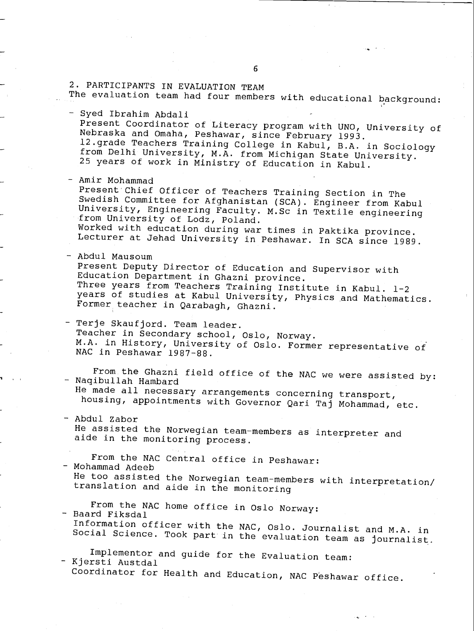### 2. PARTICIPANTS IN EVALUATION TEAM

The evaluation team had four members with educational background:

- Syed Ibrahim Abdali Present Coordinator of Literacy program with UNO, University of<br>Nebraska and Omaha, Peshawar, since February 1993. 12.grade Teachers Training College in Kabul, B.A. in Sociology from Delhi University, M.A. from Michigan State University. 25 years of work in Ministry of Education in Kabul.
- Amir Mohammad Present'Chief Officer of Teachers Training Section in The Swedish Committee for Afghanistan (SCA). Engineer from Kabul University, Engineering Faculty. M.Sc in Textile engineering from University of Lodz, Poland. Worked with education during war times in Paktika province. Lecturer at Jehad University in Peshawar. In SCA since 1989.
- Abdul Mausoum Present Deputy Director of Education and Supervisor with<br>Education Department in Ghazni province. Three years from Teachers Training Institute in Kabul. 1-2<br>years of studies at Kabul University, Physics and Mathematics. Former teacher in Qarabagh, Ghazni.
- Terje Skaufjord. Team leader. Teacher in Secondary school, Oslo, Norway. M.A. in History, University of Oslo. Former representative of NAC in Peshawar 1987-88.

From the Ghazni field office of the NAC we were assisted by:<br>- Naqibullah Hambard<br>He made all necessary arrangements concerning transport, housing, appointments with Governor Qari Taj Mohammad, etc.

- Abdul Zabor He assisted the Norwegian team-members as interpreter and<br>aide in the monitoring process.

From the NAC Central office in Peshawar: - Mohammad Adeeb

He too assisted the Norwegian team -members with interpretation/ translation and aide in the monitoring

From the NAC home office in Oslo Norway:<br>Baard Fiksdal<br>Information officer with the NAC, Oslo. Journalist and M.A. in Social Science. Took part in the evaluation team as journalist.

Implementor and guide for the Evaluation team: - Kjersti Austdal Coordinator for Health and Education, NAC Peshawar office.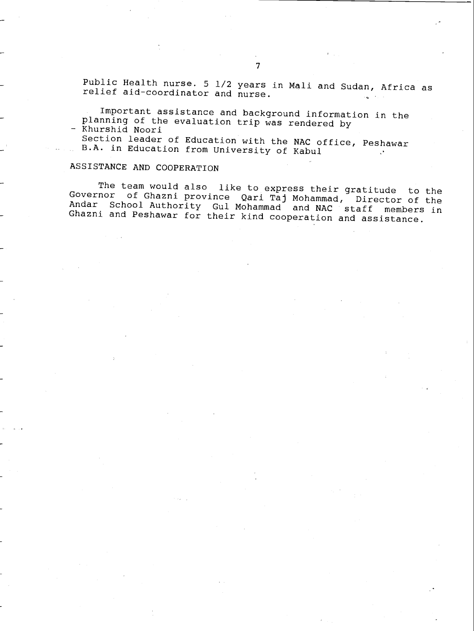Public Health nurse. 5 1/2 years in Mali and Sudan, Africa as relief aid- coordinator and nurse.

Important assistance and background information in the planning of the evaluation trip was rendered by - Khurshid Noori

Section leader of Education with the NAC office, Peshawar B.A. in Education from University of Kabul  $\cdot$ 

### ASSISTANCE AND COOPERATION

The team would also like to express their gratitude to the<br>Governor of Ghazni province Qari Taj Mohammad, Director of the<br>Andar School Authority Gul Mohammad and NAC staff members in<br>Ghazni and Peshawar for their kind coop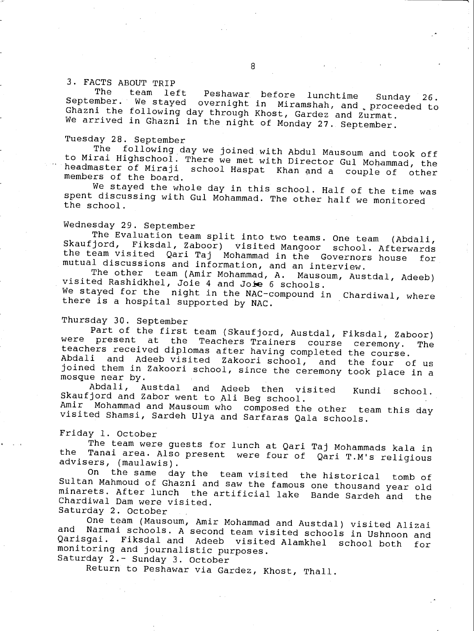# 3. FACTS ABOUT TRIP

The team left Peshawar before lunchtime Sunday 26.<br>September. We stayed overnight in Miramshah, and proceeded to<br>Ghazni the following day through Khost, Gardez and Zurmat.<br>We arrived in Ghazni in the night of Monday 27. Se

Tuesday 28. September<br>The following day we joined with Abdul Mausoum and took off to Mirai Highschool. There we met with Director Gul Mohammad, the headmaster of Miraji school Haspat Khan and a couple of other members of the board.<br>We stayed the whole day in this school. Half of the time was

spent discussing with Gul Mohammad. The other half we monitored<br>the school.

Wednesday 29. September Inc Evaluation team split into two teams. One team (Abdali,<br>Skaufjord, Fiksdal, Zaboor) visited Mangoor school. Afterwards<br>the team visited Qari Taj Mohammad in the Governors house for<br>mutual discussions and information, a

The other team (Amir Mohammad, A. Mausoum, Austdal, Adeeb) visited Rashidkhel, Joie 4 and Joie 6 schools.

We stayed for the night in the NAC-compound in Chardiwal, where there there is a hospital supported by NAC.

### Thursday 30. September

Part of the first team (Skaufjord, Austdal, Fiksdal, Zaboor)<br>were present at the Teachers Trainers course ceremony. The were present at the Teachers Trainers course ceremony. The<br>teachers received diplomas after having completed the course.<br>Abdali and Adeeb visited Zakoori school, and the four of us<br>joined them in Zakoori school, since the

Abdali, Austdal and Adeeb then visited Kundi school. Skaufjord and Zabor went to Ali Beg school.

Amir Mohammad and Mausoum who composed the other team this day visited Shamsi, Sardeh Ulya and Sarfaras Qala schools.

Friday 1. October<br>The team were guests for lunch at Qari Taj Mohammads kala in The Tanai area. Also present were four of Qari T.M's religious<br>advisers, (maulawis).<br>On the same dav the team visited the historical temb of

On the same day the team visited the historical tomb of Sultan Mahmoud of Ghazni and saw the famous one thousand year old minarets. After lunch the artificial lake Bande Sardeh and the Chardiwal Dam were visited.

Saturday 2. October and Narmai schools. A second team visited schools in Ushnoon and<br>Qarisgai. Fiksdal and Adeeb visited Alamkhel school both for<br>monitoring and journalistic purposes. Saturday 2.- Sunday 3. October

Return to Peshawar via Gardez, Khost, Thall.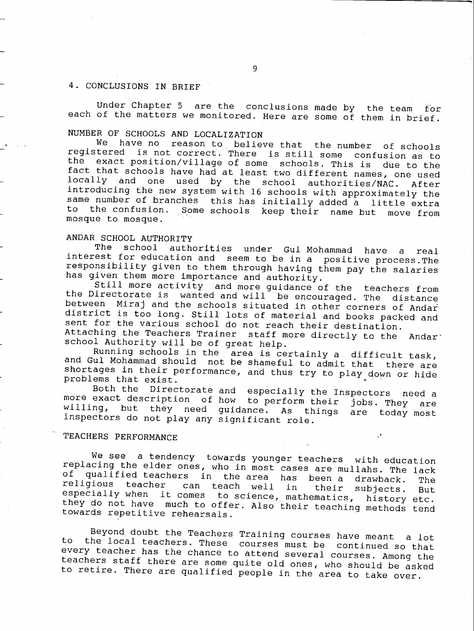### 4. CONCLUSIONS IN BRIEF

Under Chapter 5 are the conclusions made by the team for each of the matters we monitored. Here are some of them in brief.

NUMBER OF SCHOOLS AND LOCALIZATION<br>We have no reason to believe that the number of schools registered is not correct. There is still some confusion as to<br>the exact position/village of some schools. This is due to the fact that schools have had at least two different names, one used locally and one used by the school authorities/NAC. After<br>introducing the new system with 16 schools with approximately the same number of branches this has initially added a little extra<br>to the confusion. Some schools keep their name but move from Some schools keep their name but move from mosque to mosque.

ANDAR SCHOOL AUTHORITY<br>The school authorities under Gul-Mohammad have a The school authorities under Gul Mohammad have a real interest for education and seem to be in a positive process.The responsibility given to them through having them pay the salaries has given them more importance and aut

Still more activity and more guidance of the teachers from<br>the Directorate is wanted and will be encouraged. The distance<br>between Miraj and the schools situated in other corners of Andar district is too long. Still lots of material and books packed and sent for the various school do not reach their destination. Attaching the Teachers Trainer staff more directly to the Andar'<br>school Authority will be of great help.<br>Running schools in the area is certainly a difficult task,

Running schools in the area is certainly a different and Gul Mohammad should not be shameful to admit that there are shortages in their performance, and thus try to play down or hide problems that exist.<br>Both the Directora

more exact description of how to perform their jobs. They are<br>willing, but they need guidance. As things are today most<br>inspectors do not play any significant role.

### TEACHERS PERFORMANCE

We see a tendency towards younger teachers with education<br>replacing the elder ones, who in most cases are mullahs. The lack<br>of qualified teachers in the area has been a drawback. The<br>religious teacher can teach well in the

Beyond doubt the Teachers Training courses have meant a lot<br>to the local teachers. These courses must be continued so that<br>every teacher has the chance to attend several courses. Among the<br>teachers staff there are some qui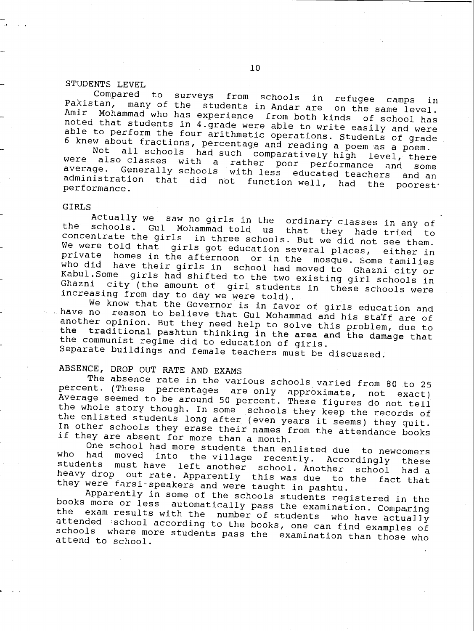STUDENTS LEVEL<br>Compared to surveys from schools in Pakistan, many of the students in Andar are on the same level.<br>Amir Mohammad who has experience from both kinds of school has<br>noted that students in 4.grade were able to write easily and were<br>able to perform the four arith

were also classes with<br>average. Generally schoo all schools had such comparatively high level, there<br>O classes with a rather poor performance and some Generally schools with less educated teachers and an administration that did not function well, had the poorest<sup>.</sup><br>performance.

GIRLS<br>Actually we saw no girls in the ordinary classes in any of the schools. Gul Mohammad told us that they hade tried to<br>concentrate the girls in three schools. But we did not see them.<br>We were told that girls got education several places, either in<br>private homes in the afternoon or i

have no reason to believe that Gul Mohammad and his staff are of another opinion. But they need help to solve this problem, due to the traditional pashtun thinking in the area and the damage that the communist regime did t

ABSENCE, DROP OUT RATE AND EXAMS<br>The absence rate in the various schools varied from 80 to 25 percent. (These percentages are only approximate, not exact)<br>Average seemed to be around 50 percent. These figures do not tell<br>the whole story though. In some schools they keep the records of<br>the enlisted students long aft

who had moved into the village recently. Accordingly these<br>students must have left another school. Another school had a<br>heavy drop out rate. Apparently this was due to the fact that<br>they were farsi-speakers and were taught

books more or less automatically pass the examination. Comparing<br>the exam results with the number of students who have actually<br>attended school according to the books, one can find examples of<br>schools where more students p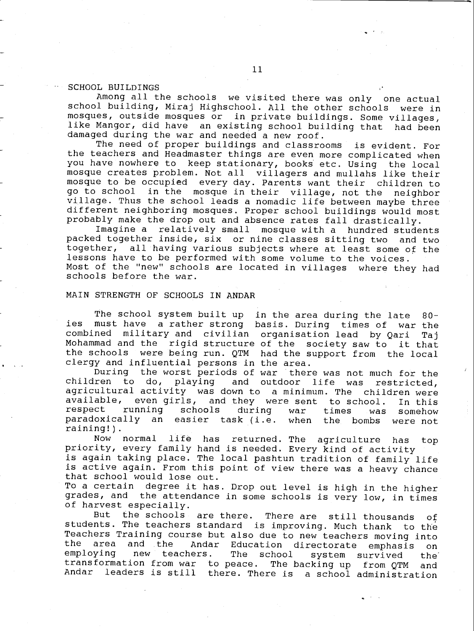### SCHOOL BUILDINGS

Among all the schools we visited there was only one actual school building, Miraj Highschool. All the other schools were in mosques, outside mosques or in private buildings. Some villages, like Mangor, did have an existing school building that had been damaged during the war and needed a new roof.

The need of proper buildings and classrooms is evident. For the teachers and Headmaster things are even more complicated when you have nowhere to keep stationary, books etc. Using the local mosque creates problem. Not all villagers and mullahs like their mosque to be occupied every day. Parents want their children to go to school in the mosque in their village, not the neighbor village. Thus the school leads a nomadic life between maybe three different neighboring mosques. Proper school buildings would most probably make the drop out and absence rates fall drastically.

Imagine a relatively small mosque with a hundred students packed together inside, six or nine classes sitting two and two together, all having various subjects where at least some of the lessons have to be performed with some volume to the voices. Most of the "new" schools are located in villages where they had schools before the war.

### MAIN STRENGTH OF SCHOOLS IN ANDAR

The school system built up in the area during the late 80 les must have a rather strong basis. During times of war the combined military and civilian organisation lead by Qari Taj Mohammad and the rigid structure of the society saw to it that the schools were being run. QTM had the support from the local clergy and influential persons in the area.

During the worst periods of war there was not much for the children to do, playing and outdoor life was restricted. and outdoor life was restricted, agricultural activity was down to a minimum. The children were available, even girls, and they were sent to school. In this<br>respect running schools during war times was somehow respect running schools during war times was somehow paradoxically an easier task (i.e. when the bombs were not raining!).

Now normal life has returned. The agriculture has top priority, every family hand is needed. Every kind of activity is again taking place. The local pashtun tradition of family life is active again. From this point of view there was a heavy chance that school would lose out.

To a certain degree it has. Drop out level is high in the higher grades, and the attendance in some schools is very low, in times of harvest especially.

But the schools are there. There are still thousands of students. The teachers standard is improving. Much thank to the Teachers Training course but also due to new teachers moving into<br>the area and the Andar Education directorate emphasis on the area and the Andar Education directorate emphasis on<br>employing new teachers. The school system survived the chool system survived the<br>The backing up from OTM and transformation from war to peace. The backing up from QTM and Andar leaders is still there. There is a school administration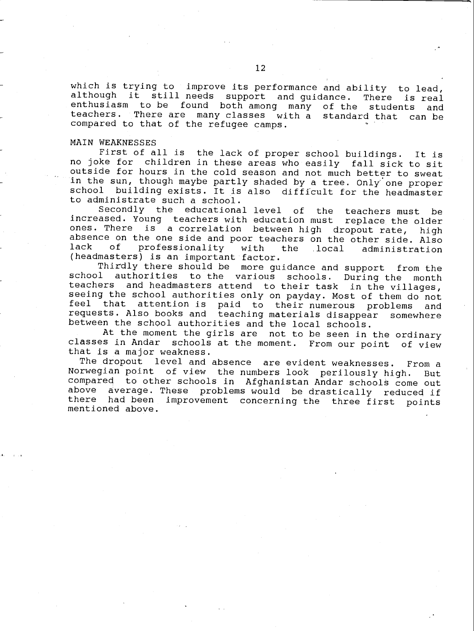which is trying to improve its performance and ability to lead, although it still needs support and guidance. There is real enthusiasm to be found both among many of the students and enthusiasm to be found both among many of the students teachers. There are many classes with a standard that can be compared to that of the refugee camps.

### MAIN WEAKNESSES

First of all is the lack of proper school buildings. It is no joke for children in these areas who easily fall sick to sit outside for hours in the cold season and not much better to sweat in the sun, though maybe partly shaded by a tree. Only one proper school building exists. It is also difficult for the headmaster to administrate such a school.

Secondly the educational level of the teachers must be increased. Young teachers with education must replace the older<br>ones. There is a correlation between high dropout rate, high absence on the one side and poor teachers on the other side. Also<br>lack of professionality with the local administration professionality (headmasters) is an important factor.

Thirdly there should be more guidance and support from the school authorities to the various schools. During the month teachers and headmasters attend to their task in the villages, seeing the school authorities only on payday. Most of them do not feel that attention is paid to their numerous problems and requests. Also books and teaching materials disappear somewhere between the school authorities and the local schools.

At the moment the girls are not to be seen in the ordinary classes in Andar schools at the moment. From our point of view that is a major weakness.

The dropout level and absence are evident weaknesses. From a Norwegian point of view the numbers look perilously high. But compared to other schools in Afghanistan Andar schools come out above average. These problems would be drastically reduced if<br>there had been improvement concerning the three first points there had been improvement concerning the three first points mentioned above.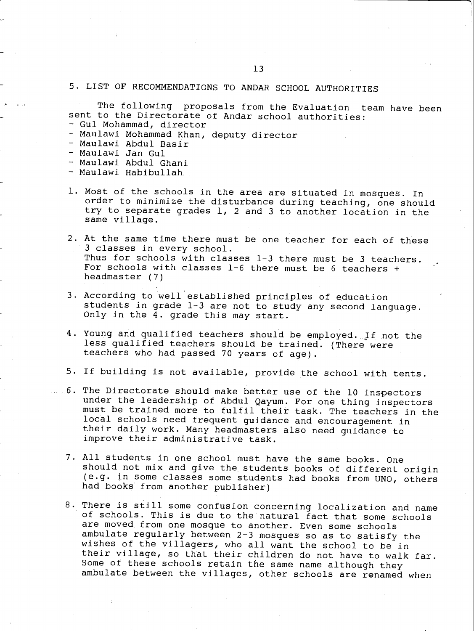### 5. LIST OF RECOMMENDATIONS TO ANDAR SCHOOL AUTHORITIES

The following proposals from the Evaluation team have been sent to the Directorate of Andar school authorities:

- Gul Mohammad, director
- Maulawi Mohammad Khan, deputy director
- Maulawi Abdul Basir
- Maulawi Jan Gul
- Maulawi Abdul Ghani
- Maulawi Habibullah.
- 1. Most of the schools in the area are situated in mosques. In order to minimize the disturbance during teaching, one should try to separate grades 1, 2 and 3 to another location in the same village.
- 2. At the same time there must be one teacher for each of these 3 classes in every school. Thus for schools with classes 1-3 there must be 3 teachers. For schools with classes  $1-6$  there must be 6 teachers + headmaster (7)
- 3. According to well'established principles of education students in grade  $1-3$  are not to study any second language. Only in the  $\overline{4}$ . grade this may start.
- 4. Young and qualified teachers should be employed. If not the less qualified teachers should be trained. (There were teachers who had passed 70 years of age).
- 5. If building is not available, provide the school with tents.
- 6. The Directorate should make better use of the 10 inspectors under the leadership of Abdul Qayum. For one thing inspectors must be trained more to fulfil their task. The teachers in the local schools need frequent guidance and encouragement in their daily work. Many headmasters also need guidance to improve their administrative task.
- <sup>7</sup> All students in one school must have the same books. One should not mix and give the students books of different origin (e.g. in some classes some students had books from UNO, others had books from another publisher)
- 8. There is still some confusion concerning localization and name of schools. This is due to the natural fact that some schools are moved from one mosque to another. Even some schools ambulate regularly between  $2-3$  mosques so as to satisfy the wishes of the villagers, who all want the school to be in their village, so that their children do not have to walk far. Some of these schools retain the same name although they ambulate between the villages, other schools are renamed when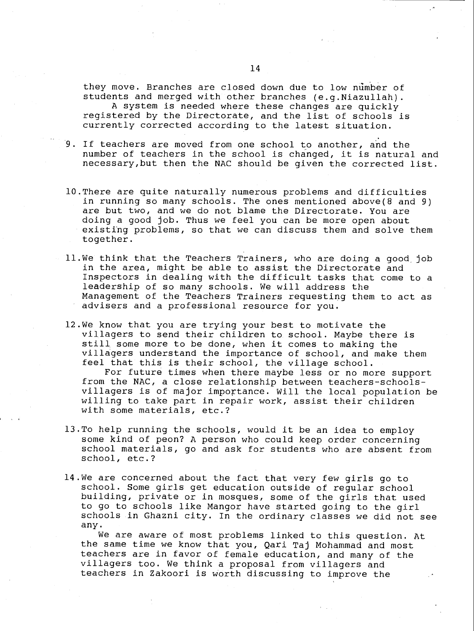they move. Branches are closed down due to low númber of students and merged with other branches (e.g.Niazullah). A system is needed where these changes are quickly registered by the Directorate, and the list of schools is currently corrected according to the latest situation.

- 9. If teachers are moved from one school to another, and the number of teachers in the school is chânged, it is natural and necessary,but then the NAC should be given the corrected list.
- 10.There are quite naturally numerous problems and difficulties in running so many schools. The ones mentioned above(8 and 9) are but two, and we do not blame the Directorate. You are doing a good job. Thus we feel you can be more open about existing problems, so that we can discuss them and solve them together.
- 11.We think that the Teachers Trainers, who are doing a good, job in the area, might be able to assist the Directorate and Inspectors in dealing with the difficult tasks that come to a leadership of so many schools. We will address the Management of the Teachers Trainers requesting them to act as advisers and a professional resource for you.
- 12.We know that you are trying your best to motivate the villagers to send their children to school. Maybe there is still some more to be done, when it comes to making the villagers understand the importance of school, and make them feel that this is their school, the village school. For future times when there maybe less or no more support from the NAC, a close relationship between teachers-schoolsvillagers is of major importance. Will the local population be

willing to take part in repair work, assist their children with some materials, etc.?

- 13.To help running the schools, would it be an idea to employ some kind of peon? A person who could keep order concerning school materials, go and ask for students who are absent from school, etc.?
- 14.We are concerned about the fact that very few girls go to school. Some girls get education outside of regular school building, private or in mosques, some of the girls that used to go to schools like Mangor have started going to the girl schools in Ghazni city. In the ordinary classes we did not see any.

We are aware of most problems linked to this question. At the same time we know that you, Qari Taj Mohammad and most teachers are in favor of female education, and many of the villagers too. We think a proposal from villagers and teachers in Zakoori is worth discussing to improve the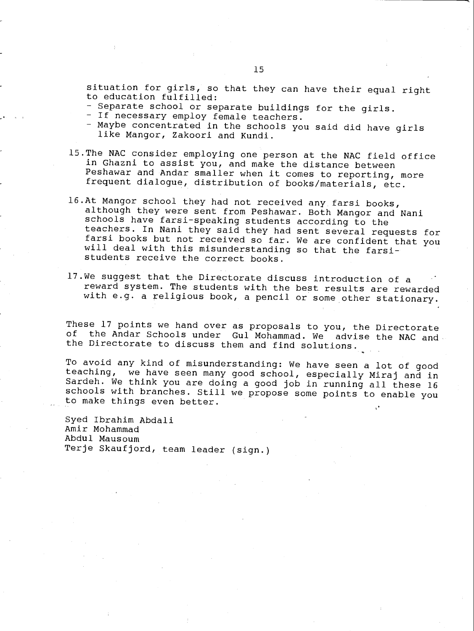situation for girls, so that they can have their equal right to education fulfilled:

- Separate school or separate buildings for the girls.
- If necessary employ female teachers.
- Maybe concentrated in the schools you said did have girls like Mangor, Zakoori and Kundi.
- 15.The NAC consider employing one person at the NAC field office in Ghazni to assist you, and make the distance between Peshawar and Andar smaller when it comes to reporting, more frequent dialogue, distribution of books /materials, etc.
- 16.At Mangor school they had not received any farsi books, although they were sent from Peshawar. Both Mangor and Nani schools have farsi-speaking students according to the teachers. In Nani they said they had sent several requests for farsi books but not received so far. We are confident that you will deal with this misunderstanding so that the farsi students receive the correct books.
- 17.We suggest that the Directorate discuss introduction of a reward system. The students with the best results are rewarded with e.g. a religious book, a pencil or some other stationary.

These 17 points we hand over as proposals to you, the Directorate<br>of the Andar Schools under Cul Mohammad, We eduise the Wester the Andar Schools under Gul Mohammad. We advise the NAC and the Directorate to discuss them and find solutions.

To avoid any kind of misunderstanding: We have seen a lot of good teaching, we have seen many good school, especially Miraj and in Sardeh. We think you are doing a good job in running all these 16 schools with branches. Still we propose some points to enable you to make things even better.

Syed Ibrahim Abdali Amir Mohammad Abdul Mausoum Terje Skaufjord, team leader (sign.)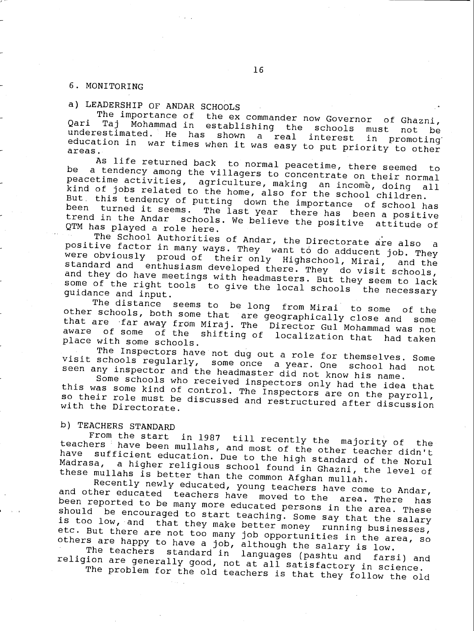### 6. MONITORING

a) LEADERSHIP OF ANDAR SCHOOLS<br>The importance of the ex commander now Governor Qari Taj Mohammad in<br>underestimated. He ha The importance of the ex commander now Governor of Ghazni, Tand in establishing the schools must not be under the beam of the schools must not be under the under the under the under the schools must not be under education in He has shown <sup>a</sup> real interest in promoting' education in war times when it was easy to put priority to other

be a tend As life returned back to normal peacetime, there seemed to<br>be a tendency among the villagers to concentrate on their normal<br>peacetime activities, agriculture, making, an income, doing, all peacetime activities, agriculture, making an income, doing all<br>kind of jobs related to the home, also for the school children.<br>But this tendency of putting down the importance of school has<br>been turned it seems. The last y

The School Authorities of Andar, the Directorate are also the School Authorities of Andar, the Directorate are also and in the positive factor in many ways. They want to do adducent ich many were obviously proud of their only Highschool, Mirai, many ways. They want tô do adducent job. They standard and were ODVIOUSly proud of their only Highschool, Mirai, and the<br>standard and enthusiasm developed there. They do visit schools,<br>and they do have meetings with headmasters. But they seem to lack<br>some of the right tools to giv

other schools, both some that are geographically close and some The distance seems to be long from Mirai to some of the that are far away from Miraj. The Director Gul Mohammad was not aware of some that are far away from Miraj. The Director Gul Mohammad was not<br>aware of some of the shifting of localization that had taken place with some schools.

visit schools regularly, some once a year. One school had The Inspectors have not dug out a role for themselves. Some schools regularly, some once a year. One school had not

seen any inspector and the headmaster did not know his name.<br>Some schools who received inspectors only had the idea that this was some kind of control. The inspectors are on the payroll, so their role must be of control. The Inspectors are on the payroll,<br>so their role must be discussed and restructured after discussion<br>with the Directorate.

b) TEACHERS STANDARD<br>From the start in 1987 till recently the majority of teachers have been mullahs, and most of the other teacher didn't From the start in 1987. The majority of the teachers have been mullahs, and most of the other teacher didn't have sufficient education. Due to the high standard of the Norul Madrasa, a higher religious school found in Ghaz

these mullahs is better than the common Afghan mullah.<br>Recently newly educated, young teachers have come to Andar, and other educated teachers have moved to the area. There has and other educated teachers have moved to the area. There has<br>been reported to be many more educated persons in the area. These should be encouraged to start teaching. Some say that the salary is too low, and that they make better money running businesses, IS too low, and that they make better money running businesses,<br>etc. But there are not too many job opportunities in the area so others are happy to have a job, although the salary is low.<br>The teachers standard in languages (pashtu and farsi) and

religion are generally good, not at all satisfactory in science.<br>The problem for the old teachers is that they follow the old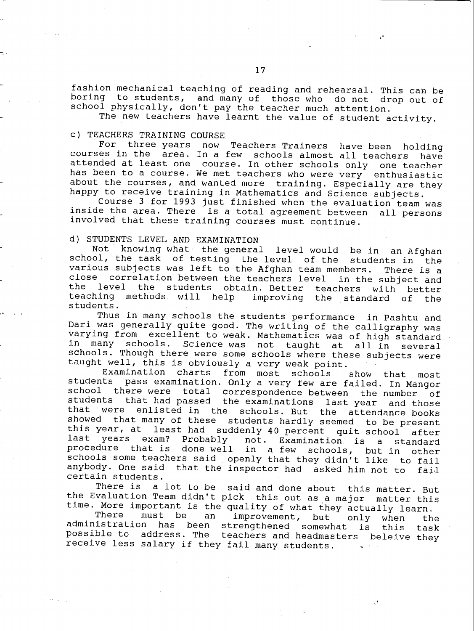fashion mechanical teaching of reading and rehearsal. This can be boring to students, and many of those who do not drop out of school physically, don't pay the teacher much attention.

The new teachers have learnt the value of student activity.

c) TEACHERS TRAINING COURSE<br>For three years now Teachers Trainers have been holding courses in the area. In a few schools almost all teachers have<br>attended at least one course. In other schools only one teacher attended at least one course. In other schools only has been to a course. We met teachers who were very enthusiastic about the courses, and wanted more training. Especially are they happy to receive training in Mathematics and Science subjects.

Course 3 for 1993 just finished when the evaluation team was inside the area. There is a total agreement between all persons involved that these training courses must continue.

d) STUDENTS LEVEL AND EXAMINATION<br>Not knowing what the general level would be in Not knowing what the general level would be in an Afghan school, the task of testing the level of the students in the various subjects was left to the Afghan team members. There is a close correlation between the teachers level in the subject and<br>the level the students obtain, Better teachers with botter the level the students obtain. Better teachers with better<br>teaching methods will help improving the standard of the improving the standard of students.

Thus in many schools the students performance in Pashtu and<br>Dari was generally quite good. The writing of the calligraphy was varying from excellent to weak. Mathematics was of high standard<br>in many schools. Science was not taught at all in several in many schools. Science was not taught at schools. Though there were some schools where these subjects were taught well, this is obviously a very weak point.<br>Examination charts from most schools

Examination charts from most schools show that most students pass examination. Only a very few are failed. In Mangor school there were total correspondence between the number of students that had passed the examinations last year and those<br>that were enlisted in the schools But the attendance beaks were enlisted in the schools. But the attendance books showed that many of these students hardly seemed to be present this year, at least had suddenly 40 percent quit school after<br>last years exam? Probably not. Examination is a standard procedure that is done well in a few schools, but in other<br>schools some teachers said openly that they didn't like to fail anybody. One said that the inspector had asked him not to fail certain students.

There is a lot to be said and done about this matter. But the Evaluation Team didn't pick this out as a major matter this time. More important is the quality of what they actually learn.<br>There must be an improvement, but only when th

There must be an improvement, but only when the<br>administration has been strengthened somewhat is this task<br>possible to address. The teachers and headmasters beleive they receive less salary if they fail many students.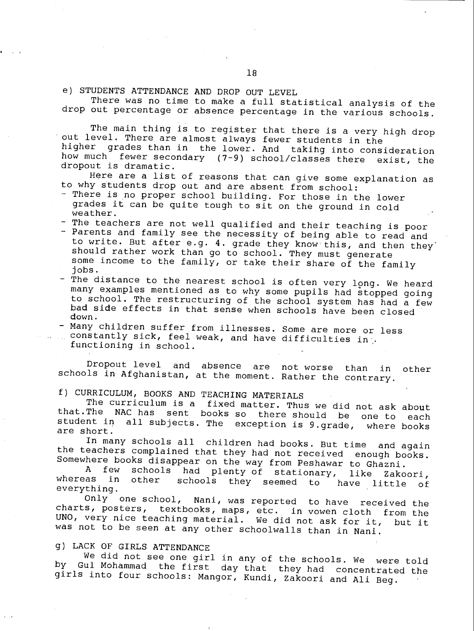e) STUDENTS ATTENDANCE AND DROP OUT LEVEL

There was no time to make a full statistical analysis of the drop out percentage or absence percentage in the various schools.

The main thing is to register that there is a very high drop out level. There are almost always fewer students in the higher grades than in the lower. And taking into consideration how much fewer secondary  $(7-9)$  school/classes there exist, the dropout is dramatic.

Here are a list of reasons that can give some explanation as to why students drop out and are absent from school:

- There is no proper school building. For those in the lower grades it can be quite tough to sit on the ground in cold weather.

- The teachers are not well qualified and their teaching is poor

- Parents and family see the necessity of being able to read and to write. But after e.g. 4. grade they know this, and then they should rather work than go to school. They must generate some income to the family, or take their share of the family jobs. jobs.
- The distance to the nearest school is often very long. We heard many examples mentioned as to why some pupils had stopped going<br>to school. The restructuring of the school system has had a few bad side effects in that sense when schools have been closed down. down.
- Many children suffer from illnesses. Some are more or less constantly sick, feel weak, and have difficulties in.<br>functioning in school.

Dropout level and absence are not worse than in other schools in Afghanistan, at the moment. Rather the contrary.

f) CURRICULUM, BOOKS AND TEACHING MATERIALS The NAC has sent books so there should be one to each student in all subjects. The exception is 9.grade, where books are short.<br>In many schools all children had books. But time and again

the teachers complained that they had not received enough books.<br>Somewhere books disappear on the way from Peshawar to Ghazni.<br>A few schools had plenty of stationary, like Take

A few schools had plenty of stationary, like Zakoori,<br>whereas in other schools they seemed to have little of<br>everything. Only one school, Nani, was reported to have received the

charts, posters, textbooks, maps, etc. in vowen cloth from the<br>UNO, very nice teaching material. We did not ask for it, but it<br>was not to be seen at any other schoolwalls than in Nani.

g) LACK OF GIRLS ATTENDANCE<br>We did not see one girl in any of the schools. We were told by Gul Mohammad the first day that they had concentrated the girls into four schools: Mangor, Kundi, Zakoori and Ali Beg.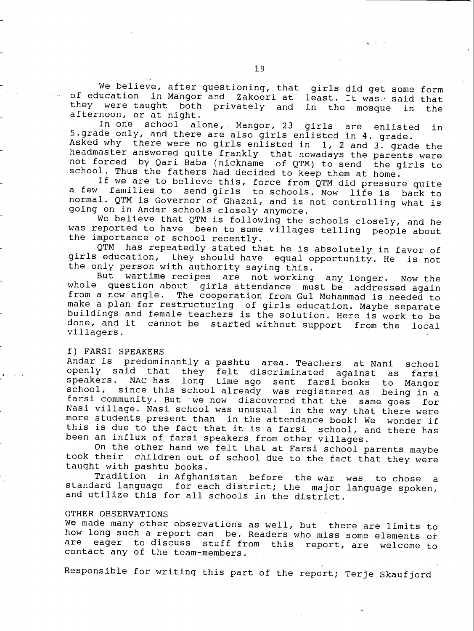We believe, after questioning, that girls did get some form of education in Mangor and Zakoori at least. It was, said that<br>they were taught both privately and in the mosque in the they were taught both privately and in the mosque afternoon, or at night.

In one school alone, Mangor, 23 girls are enlisted in<br>5.grade only, and there are also girls enlisted in 4. grade. Asked why there were no girls enlisted in 1, 2 and 3. grade the<br>headmaster answered quite frankly that nowadays the parents were not forced by Qari Baba (nickname of QTM) to send the girls to school. Thus the fathers had decided to keep them at home.

If we are to believe this, force from QTM did pressure quite<br>a few families to send girls to schools Now life is bask to families to send girls to schools. Now life is back to normal. QTM is Governor of Ghazni, and is not controlling what is going on in Andar schools closely anymore.

We believe that QTM is following the schools closely, and he was reported to have been to some villages telling people about the importance of school recently.

QTM has repeatedly stated that he is absolutely in favor of girls education, they should have equal opportunity. He is not the only person with authority saying this.

But wartime recipes are not working any longer. Now the whole question about girls attendance must be addressed again from a new angle. The cooperation from Gul Mohammad is needed to make a plan for restructuring of girls education. Maybe separate buildings and female teachers is the solution. Here is work to be done, and it cannot be started without support from the local villagers.

f) FARSI SPEAKERS<br>Andar is predominantly a pashtu area. Teachers Andar is predominantly a pashtu area. Teachers at Nani school openly said that they felt discriminated against as farsi speakers. NAC has long time ago sent farsi books to Mangor since this school already was registered as farsi community. But we now discovered that the same goes for Nasi village. Nasi school was unusual in the way that there were more students present than in the attendance book! We wonder if this is due to the fact that it is a farsi school, and there has been an influx of farsi speakers from other villages.

On the other hand we felt that at Farsi school parents maybe took their children out of school due to the fact that they were<br>taught with pashtu books.<br>Tradition in Afghanistan before the war was to chose a

standard language for each district; the major language spoken, and utilize this for all schools in the district.

### OTHER OBSERVATIONS

We made many other observations as well, but there are limits to how long such a report can be. Readers who miss some elements or<br>are eager to discuss stuff from this report are uplease to eager to discuss stuff from this report, are welcome to contact any of the team-members.

Responsible for writing this part of the report; Terje Skaufjord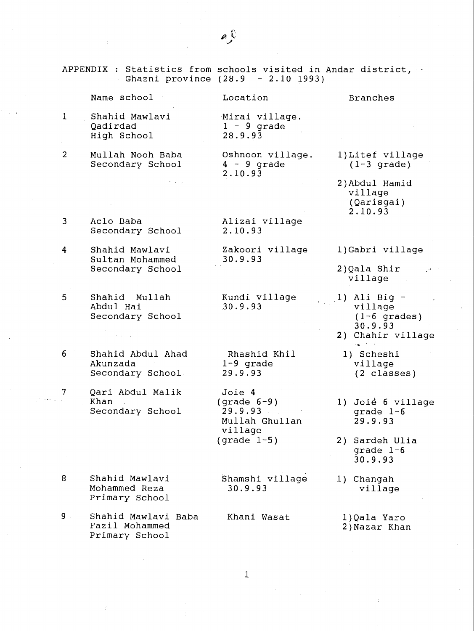|                | APPENDIX : Statistics from schools visited in Andar district, | Ghazni province (28.9 - 2.10 1993)                              |                                                                             |
|----------------|---------------------------------------------------------------|-----------------------------------------------------------------|-----------------------------------------------------------------------------|
|                | Name school                                                   | Location                                                        | <b>Branches</b>                                                             |
| 1              | Shahid Mawlavi<br>Qadirdad<br>High School                     | Mirai village.<br>$1 - 9$ grade<br>28.9.93                      |                                                                             |
| $\overline{2}$ | Mullah Nooh Baba<br>Secondary School                          | Oshnoon village.<br>$4 - 9$ grade<br>2.10.93                    | 1) Litef village<br>$(1-3 \text{ grade})$                                   |
|                |                                                               |                                                                 | 2) Abdul Hamid<br>village<br>(Qarisgai)<br>2.10.93                          |
| 3              | Aclo Baba<br>Secondary School                                 | Alizai village<br>2.10.93                                       |                                                                             |
| 4              | Shahid Mawlavi<br>Sultan Mohammed                             | Zakoori village<br>30.9.93                                      | 1) Gabri village                                                            |
|                | Secondary School                                              |                                                                 | 2)Qala Shir<br>village                                                      |
| 5              | Shahid Mullah<br>Abdul Hai<br>Secondary School                | Kundi village<br>30.9.93                                        | 1) Ali Big $-$<br>village<br>$(1-6$ grades)<br>30.9.93<br>2) Chahir village |
| 6              | Shahid Abdul Ahad<br>Akunzada<br>Secondary School             | Rhashid Khil<br>$1-9$ grade<br>29.9.93                          | 1) Scheshi<br>village<br>$(2 \text{ classes})$                              |
| 7              | Qari Abdul Malik<br>Khan<br>Secondary School                  | Joie 4<br>$(grade 6-9)$<br>29.9.93<br>Mullah Ghullan<br>village | 1) Joié 6 village<br>grade $1-6$<br>29.9.93                                 |
|                |                                                               | (grade $1-5$ )                                                  | Sardeh Ulia<br>2)<br>grade $1-6$<br>30.9.93                                 |
| 8              | Shahid Mawlavi<br>Mohammed Reza<br>Primary School             | Shamshi village<br>30.9.93                                      | 1) Changah<br>village                                                       |
| $9$ .          | Shahid Mawlavi Baba<br>Fazil Mohammed                         | Khani Wasat                                                     | 1)Qala Yaro<br>2) Nazar Khan                                                |

1

Primary School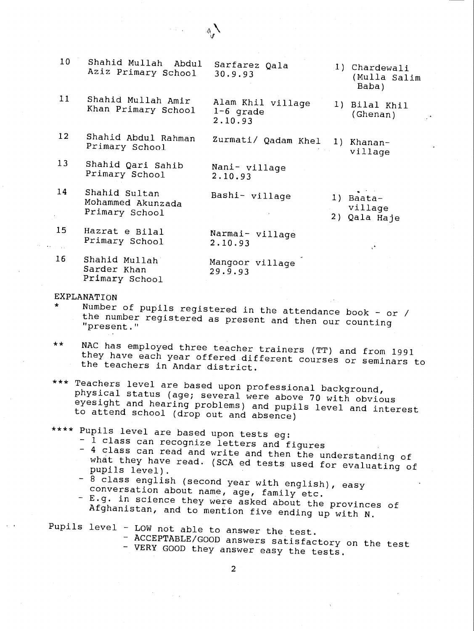| 10              | Shahid Mullah<br>Abdul<br>Aziz Primary School        | Sarfarez Qala<br>30.9.93                    |    | 1) Chardewali<br>(Mulla Salim<br>Baba)     |
|-----------------|------------------------------------------------------|---------------------------------------------|----|--------------------------------------------|
| 11              | Shahid Mullah Amir<br>Khan Primary School            | Alam Khil village<br>$1-6$ grade<br>2.10.93 |    | 1) Bilal Khil<br>(Ghenan)<br>$\mathcal{A}$ |
| 12              | Shahid Abdul Rahman<br>Primary School                | Zurmati/ Qadam Khel                         |    | 1) Khanan-<br>village                      |
| 13 <sup>°</sup> | Shahid Qari Sahib<br>Primary School                  | Nani- village<br>2.10.93                    |    |                                            |
| 14              | Shahid Sultan<br>Mohammed Akunzada<br>Primary School | Bashi- village                              | 2) | 1) Baata-<br>village<br>Qala Haje          |
| 15              | Hazrat e Bilal<br>Primary School                     | Narmai- village<br>2.10.93                  |    | $\mathcal{C}^{\bullet}$                    |
| 16              | Shahid Mullah<br>Sarder Khan<br>Primary School       | Mangoor village<br>29.9.93                  |    |                                            |

 $\Lambda$ 

- EXPLANATION<br>\* Number of pupils registered in the attendance book or / \* Number of pupils registered in the attendance book - or / the number registered as present and then our counting "present."
- \*\* NAC has employed three teacher trainers (TT) and from 1991 they have each year offered different courses or seminars to the teachers in Andar district.
- \* \*\* Teachers level are based upon professional background, physical status (age; several were above 70 with obvious eyesight and hearing problems) and pupils level and interest to attend school (drop out and absence)
- \*\*\*\* Pupils level are based upon tests eg:
	-
	- 1 class can recognize letters and figures<br>- 4 class can read and write and then the understanding of what they have read. (SCA ed tests used for evaluating of<br>pupils level).<br>- 8 class english (second year with english), easy
	-
	- conversation about name, age, family etc.<br>- E.g. in science they were asked about the provinces of Afghanistan, and to mention five ending up with N.

Pupils level - LOW not able to answer the test.

- ACCEPTABLE/GOOD answers satisfactory on the test<br>- VERY GOOD they answer easy the tests.
	-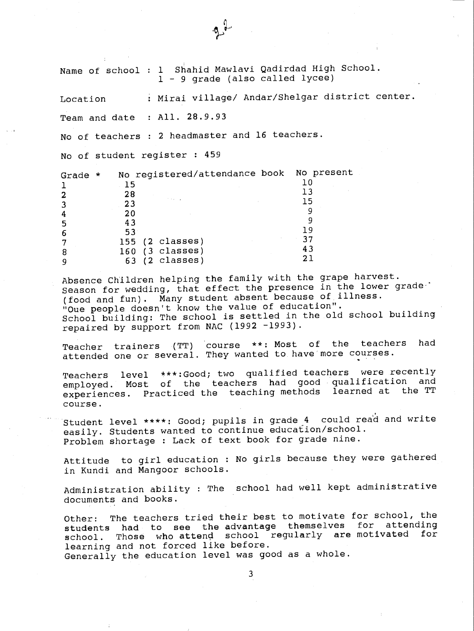Name of school : <sup>1</sup> Shahid Mawlavi Qadirdad High School. <sup>1</sup> - 9 grade (also called lycee)

Location : Mirai village/ Andar/Shelgar district center.

Team and date : All. 28.9.93

No of teachers : 2 headmaster and 16 teachers.

No of student register : 459

| Grade<br>* | No registered/attendance book No present |     |
|------------|------------------------------------------|-----|
|            | 1 5                                      |     |
|            | 28                                       |     |
|            | <b>Charles</b><br>23                     |     |
|            | 20                                       |     |
|            | 43                                       |     |
| 6          | 53                                       | 1 Q |
|            | $155$ (2 classes)                        | 37  |
| 8          | $(3 \text{ classes})$<br>160             | 43  |
|            | $(2 \text{ classes})$<br>63              |     |

Absence Children helping the family with the grape harvest. Season for wedding, that effect the presence in the lower grade-(food and fun). Many student absent because of illness. "Oue people doesn't know the value of education ". School building: The school is settled in the old school building repaired by support from NAC (1992 -1993).

Teacher trainers (TT) course \*\*: Most of the teachers had attended one or several. They wanted to have more courses.

Teachers level \*\*\*:Good; two qualified teachers were recently employed. Most of the teachers had good qualification and<br>experiences. Practiced the teaching methods. learned at the TT experiences. Practiced the teaching methods course.

Student level \*\*\*\*: Good; pupils in grade 4 could read and write easily. Students wanted to continue education/school. Problem shortage : Lack of text book for grade nine.

Attitude to girl education : No girls because they were gathered in Kundi and Mangoor schools.

Administration ability : The school had well kept administrative documents and books.

Other: The teachers tried their best to motivate for school, the students had to see the advantage themselves for attending school. Those who attend school regularly are motivated for learning and not forced like before. Generally the education level was good as a whole.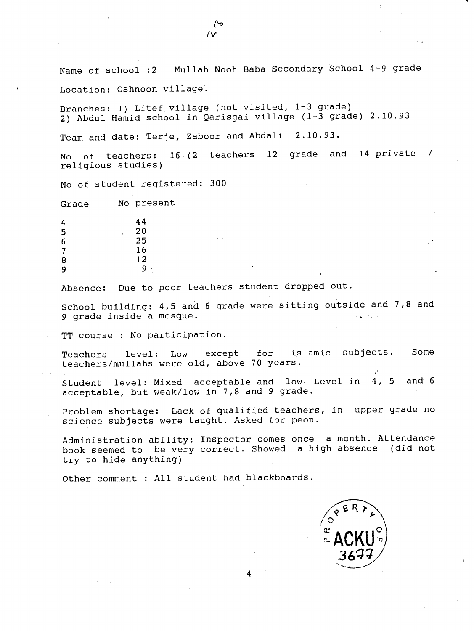Name of school :2 Mullah Nooh Baba Secondary School 4-9 grade Location: Oshnoon village.

Branches: 1) Litef village (not visited, 1-3 grade) 2) Abdul Hamid school in Qarisgai village (1-3 grade) 2.10.93

Team and date: Terje, Zaboor and Abdali 2.10.93.

No of teachers: 16,(2 teachers <sup>12</sup> grade and 14 private / religious studies)

No of student registered: 300

Grade No present

| 4                                     | 44                 |
|---------------------------------------|--------------------|
| 5                                     | 20<br>$\mathbf{r}$ |
| $\begin{array}{c} 6 \\ 7 \end{array}$ | 25                 |
|                                       | 16                 |
| 8                                     | 12                 |
| 9                                     | 9<br>٠<br>٠        |

Absence: Due to poor teachers student dropped out.

School building: 4,5 and 6 grade were sitting outside and 7,8 and 9 grade inside a mosque.

TT course : No participation.

Teachers level: Low except for Islamic subjects. Some teachers /mullahs were old, above 70 years.

Student level: Mixed acceptable and low- Level in 4, <sup>5</sup> and 6 acceptable, but weak/low in 7,8 and 9 grade.

Problem shortage: Lack of qualified teachers, in upper grade no science subjects were taught. Asked for peon.

Administration ability: Inspector comes once a month. Attendance book seemed to be very correct. Showed a high absence (did not try to hide anything)

4

Other comment : All student had blackboards.

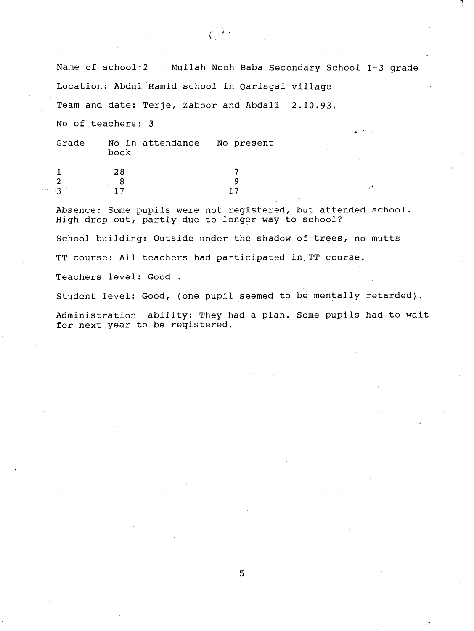Name of school:2 Mullah Nooh Baba Secondary School 1-3 grade Location: Abdul Hamid school in Qarisgai village Team and date: Terje, Zaboor and Abdali 2.10.93. No of teachers: 3 Grade No in attendance No present book <sup>1</sup> 28 7 2 8 9

 $\mathbb{C}^{1Y}$  .

Absence: Some pupils were not registered, but attended school. High drop out, partly due to longer way to school?

School building: Outside under the shadow of trees, no mutts

TT course: All teachers had participated in TT course.

 $3 \t 17 \t 17$ 

Teachers level: Good .

Student level: Good, (one pupil seemed to be mentally retarded).

Administration ability: They had a plan. Some pupils had to wait for next year to be registered.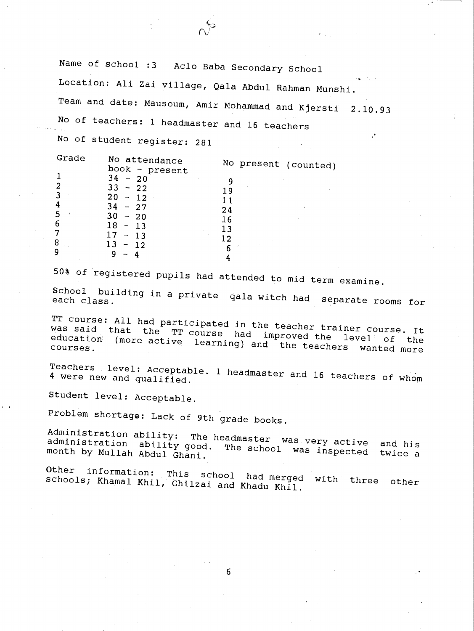Name of school :3 Aclo Baba Secondary School

Location: Ali Zai village, Qala Abdul Rahman Munshi.

Team and date: Mausoum, Amir Mohammad and Kjersti 2.10.93

No of teachers: i headmaster and 16 teachers

No of student register: 281

| Grade | No attendance<br>book - present | No present (counted) |
|-------|---------------------------------|----------------------|
|       | $34 - 20$                       |                      |
|       | $33 - 22$                       | 1 q                  |
|       | 20<br>$-12$                     |                      |
|       | $34 - 27$                       | 24                   |
| 6     | 30<br>$-20$<br>18               | 16                   |
|       | $-13$<br>17<br>$-1.3$           | 13                   |
| 8     | 13<br>$-12$                     |                      |
| 9     |                                 | 6                    |
|       |                                 |                      |

50% of registered pupils had attended to mid term examine.

School building in a private gala witch had separate rooms for

TT course: All had participated in the teacher trainer course. It<br>was said that the TT course had improved the level of the education chat the TT course had improved the level of the<br>education (more active learning) and the teachers wanted more

Teachers level: 4 were new and qualifie level: Acceptable. 1 headm : Acceptable. 1 headmaster and 16 teachers of whom<br>qualified.

Student level: Acceptable.

Problem shortage: Lack of 9th grade books.<br>Administration ability: The headmaster was very active Administration ability: The headmaster was very active and his<br>administration ability good. The school was inspected to i month by Mullah Abdul Ghani. The school was inspected twice a

Other information: This schools; Khamal Khil, Ghilzai and Khad This school had merged with three other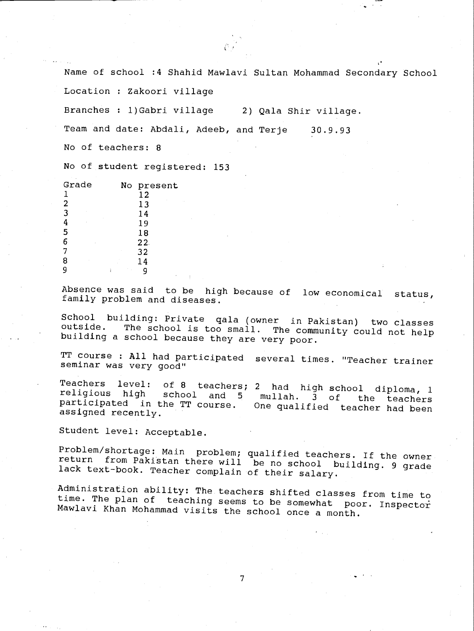Name of school :4 Shahid Mawlavi Sultan Mohammad Secondary School

Location : Zakoori village

Branches : 1)Gabri village 2) Qala Shir village.

Team and date: Abdali, Adeeb, and Terje 30.9.93

No of teachers: 8

No of student registered: 153

| Grade | No present          |
|-------|---------------------|
|       | 12                  |
| 2     | $\sim$ $\sim$<br>13 |
| 3     | 14                  |
|       | 19                  |
| 5     | 18                  |
| 6     | 22.                 |
|       | 32                  |
| 8     | 14                  |
|       | ×.                  |
|       | 10.00               |

Absence was said to be high because of low economical status, family problem and diseases.

School building: Private gala (owner in Pakistan) two classes outside. The school is too small. The community could not help building a school because they are very poor.

TT course : All had participated several times. "Teacher trainer seminar was very good"

Teachers level: of 8 teachers; 2 had high school diploma, <sup>1</sup> religious high school and <sup>5</sup> mullah. <sup>3</sup> of the teachers participated in the TT course. One qualified teacher had been assigned recently.

Student level: Acceptable.

Problem/shortage: Main problem; qualified teachers. If the owner<br>return from Pakistan there will be no school building. 9 grade<br>lack text-book. Teacher complain of their salary.

Administration ability: The teachers shifted classes from time to<br>time. The plan of teaching seems to be somewhat poor. Inspector<br>Mawlavi Khan Mohammad visits the school once a month.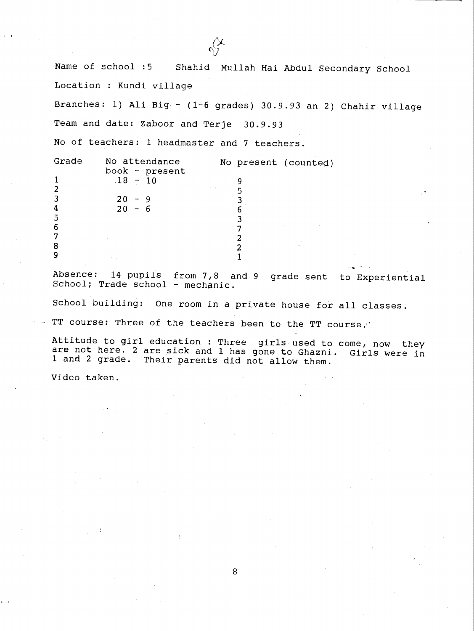Name of school :5 Shahid Mullah Hai Abdul Secondary School Location : Kundi village

Branches: 1) Ali Big - (1-6 grades) 30.9.93 an 2) Chahir village Team and date: Zaboor and Terje 30.9.93

No of teachers: 1 headmaster and 7 teachers.

| Grade | No attendance        |  | No present (counted) |
|-------|----------------------|--|----------------------|
|       | book - present       |  |                      |
|       | $18 - 10$            |  |                      |
|       | $\sim$ $\sim$ $\sim$ |  |                      |
|       | $20 - 9$             |  |                      |
|       | $20 - 6$             |  |                      |
| 5     |                      |  |                      |
| 6     |                      |  | コンティー・アーチャン          |
|       |                      |  |                      |
| 8     |                      |  |                      |
| 9     | $\sim$ $ \sim$       |  |                      |

Absence: 14 pupils from  $7,8$  and 9 grade sent to Experiential School; Trade school - mechanic.

School building: One room in a private house for all classes.

TT course: Three of the teachers been to the TT course.'

Attitude to girl education : Three girls used to come, now they are not here. 2 are sick and 1 has gone to Ghazni. Girls were in 1 and 2 grade. Their parents did not allow them.

Video taken.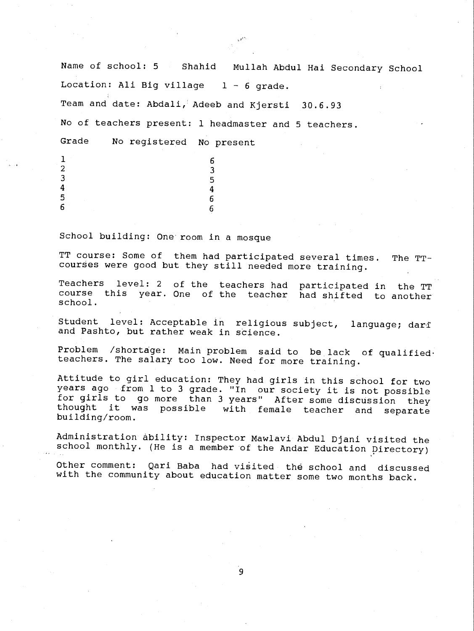Name of school: 5 Shahid Mullah Abdul Hai Secondary School Location: Ali Big village  $1 - 6$  grade. Team and date: Abdali,'Adeeb and Kjersti 30.6.93 No of teachers present: 1 headmaster and 5 teachers. Grade No registered No present  $\frac{1}{2}$  6  $\frac{2}{3}$  $\frac{3}{5}$  $4 \t 4$  $\sim$  6 6

School building: One room in a mosque

TT course: Some of them had participated several times. The TTcourses were good but they still needed more training.

Teachers level: 2 of the teachers had participated in the TT course this year. One of the teacher had shifted to another school.

Student level: Acceptable in religious subject, language; dart and Pashto, but rather weak in science.

Problem /shortage: Main problem said to be lack of qualified. teachers. The salary too low. Need for more training.

Attitude to girl education: They had girls in this school for two years ago from 1 to 3 grade. "In our society it is not possible for girls to go more than 3 years" After some discussion they thought it was possible with female teacher and separate building /room.

Administration ability: Inspector Mawlavi Abdul Djani visited the school monthly. (He is a member of the Andar Education Directory)

Other comment: Qari Baba had visited the school and discussed with the community about education matter some two months back.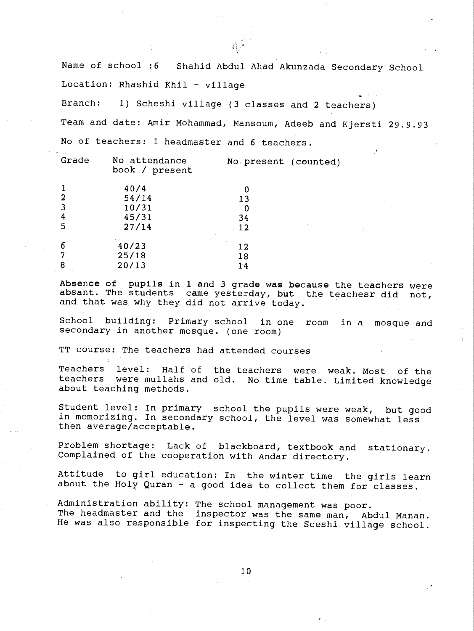Name of school :6 Shahid Abdul Ahad Akunzada Secondary School Location: Rhashid Khil - village

Branch: 1) Scheshi village (3 classes and 2 teachers)

Team and date: Amir Mohammad, Mansoum, Adeeb and Kjersti 29.9.93 No of teachers: 1 headmaster and 6 teachers.

| Grade | No attendance<br>book / present | No present (counted) |
|-------|---------------------------------|----------------------|
|       | 40/4                            |                      |
|       | 54/14                           | 13                   |
|       | 10/31                           | 0                    |
| 4     | 45/31                           | 34                   |
| 5     | 27/14                           | 12                   |
|       | $\sim$ 100 $\pm$                |                      |
| 6     | 40/23                           | 12                   |
|       | 25/18                           | 18                   |
| 8     | 20/13                           | 14                   |

Absence of pupils in 1 and 3 grade was because the teachers were absant. The students came yesterday, but the teachesr did not, and that was why they did not arrive today.

School building: Primary school in one room in a mosque and secondary in another mosque. (one room)

TT course: The teachers had attended courses

Teachers level: Half of the teachers were weak. Most of the teachers were mullahs and old. No time table. Limited knowledge about teaching methods.

Student level: In primary school the pupils were weak, but good in memorizing. In secondary school, the level was somewhat less then average/acceptable.

Problem shortage: Lack of blackboard, textbook and stationary. Complained of the cooperation with Andar directory.

Attitude to girl education: In the winter time the girls learn about the Holy Quran - a good idea to collect them for classes.

Administration ability: The school management was poor. The headmaster and the inspector was the same man, Abdul Manan. He was also responsible for inspecting the Sceshi village school.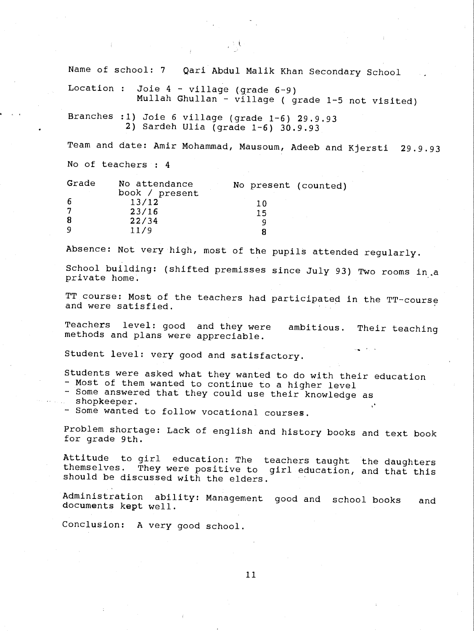Name of school: <sup>7</sup> Qari Abdul Malik Khan Secondary School Location : Joie  $4$  - village (grade  $6-9$ )

Mullah Ghullan - village ( grade 1 -5 not visited)

Branches :1) Joie 6 village (grade  $1-6$ ) 29.9.93 2) Sardeh Ulia (grade 1 -6) 30.9.93

Team and date: Amir Mohammad, Mausoum, Adeeb and Kjersti 29.9.93 No of teachers : <sup>4</sup>

| Grade    | No attendance<br>book / present | No present (counted) |
|----------|---------------------------------|----------------------|
| -6       | 13/12                           | 10                   |
|          | 23/16                           | 15                   |
| -8       | 22/34                           |                      |
| <b>Q</b> | 11/9                            |                      |

Absence: Not very high, most of the pupils attended regularly.

School building: (shifted premisses since July 93) Two rooms in,a private home.

TT course: Most of the teachers had participated in the TT-course and were satisfied.

Teachers level: good and they were ambitious. Their teaching methods and plans were appreciable.

Student level: very good and satisfactory.

Students were asked what they wanted to do with their education

- Most of them wanted to continue to a higher level
- Some answered that they could use their knowledge as shopkeeper.
- Some wanted to follow vocational courses.

Problem shortage: Lack of english and history books and text book for grade 9th.

Attitude to girl education: The teachers taught the daughters themselves. They were positive to girl education, and that this should be discussed with the elders.

Administration ability: Management good and school books and documents kept well.

Conclusion: A very good school.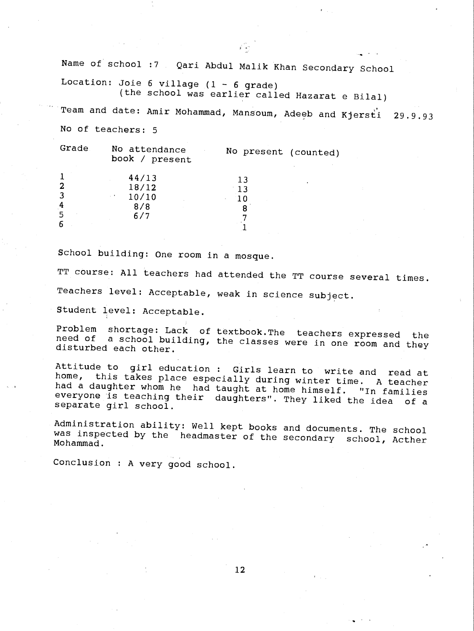Name of school :7 Qari Abdul Malik Khan Secondary School Location: Joie 6 village  $(1 - 6$  grade) (the school was earlier called Hazarat e Bilal) Team and date: Amir Mohammad, Mansoum, Adeeb and Kjersti 29.9.93 No of teachers: 5 Grade No attendance No present (counted) book / present  $\frac{1}{2}$  44/13 13  $\frac{2}{3}$  18/12 13

School building: One room in a mosque.

 $\frac{3}{4}$  10/10 10  $\frac{4}{5}$  8/8 8 5 6/7 7

TT course: All teachers had attended the TT course several times. Teachers level: Acceptable, weak in science subject.

 $\mathbf{T}$  and  $\mathbf{T}$ 

Student level: Acceptable.

 $\mathbf{b}$  and  $\mathbf{b}$ 

Problem shortage: Lack of textbook.The teachers expressed the need of a school building, the classes were in one room and they disturbed each other.

Attitude to girl education : Girls learn to write and read at<br>home, this takes place especially during winter time. A teacher<br>had a daughter whom he had taught at home himself. "In families<br>everyone is teaching their daugh

Administration ability: Well kept books and documents. The school was inspected by the headmaster of the secondary school, Acther Mohammad.

Conclusion : A very good school.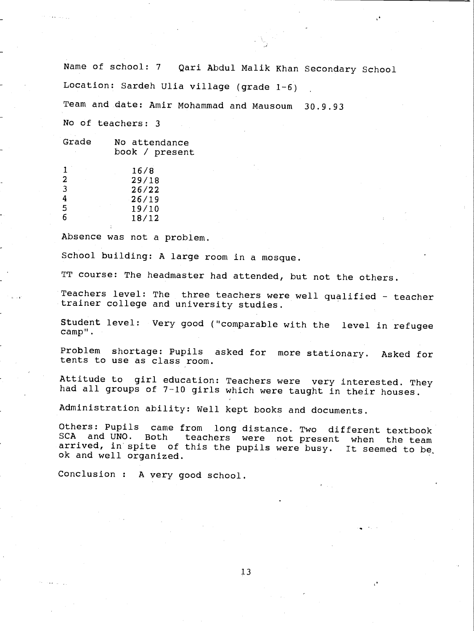Name of school: 7 Qari Abdul Malik Khan Secondary School Location: Sardeh Ulia village (grade 1-6)

Team and date: Amir Mohammad and Mausoum 30.9.93

No of teachers: <sup>3</sup>

| Grade | No attendance<br>book / present |  |
|-------|---------------------------------|--|
|       |                                 |  |

|   | 16/8  |  |
|---|-------|--|
| 2 | 29/18 |  |
| 3 | 26/22 |  |
| 4 | 26/19 |  |
| 5 | 19/10 |  |
| 6 | 18/12 |  |
|   |       |  |

Absence was not a problem.

School building: A large room in a mosque.

TT course: The headmaster had attended, but not the others.

Teachers level: The three teachers were well qualified - teacher trainer college and university studies.

Student level: Very good ( "comparable with the level in refugee camp ".

Problem shortage: Pupils asked for more stationary. Asked for tents to use as class room.

Attitude to girl education: Teachers were very interested. They had all groups of 7-10 girls which were taught in their houses.

Administration ability: Well kept books and documents.

Others: Pupils came from long distance. Two different textbook<br>SCA and UNO. Both teachers were not present when the team arrived, in spite of this the pupils were busy. It seemed to be, ok and well organized.

Conclusion : A very good school.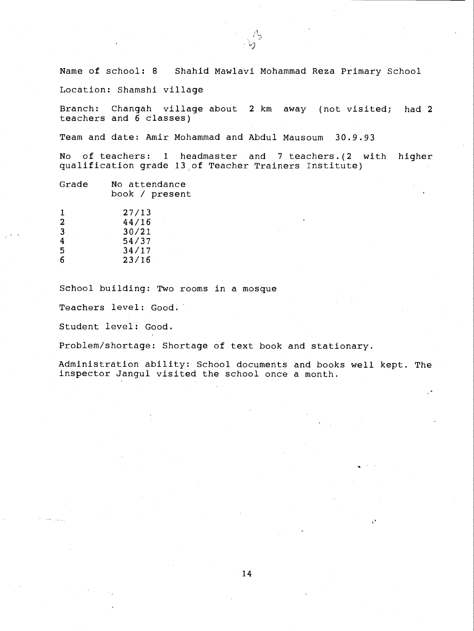Name of school: <sup>8</sup> Shahid Mawlavi Mohammad Reza Primary School

Location: Shamshi village

Branch: Changah village about 2 km away (not visited; had 2 teachers and 6 classes)

Team and date: Amir Mohammad and Abdul Mausoum 30.9.93

No of teachers: <sup>1</sup> headmaster and 7 teachers.(2 with higher qualification grade 13 of Teacher Trainers Institute)

| Grade | No attendance  |
|-------|----------------|
|       | book / present |

|              | 27/13 |
|--------------|-------|
| $\mathbf{2}$ | 44/16 |
| 3            | 30/21 |
| 4            | 54/37 |
| 5            | 34/17 |
| 6            | 23/16 |

School building: Two rooms in a mosque

Teachers level: Good.

Student level: Good.

Problem/shortage: Shortage of text book and stationary.

Administration ability: School documents and books well kept. The inspector Jangul visited the school once a month.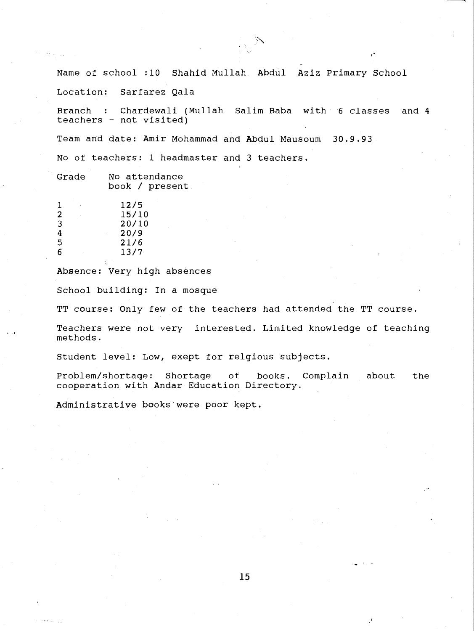Name of school :10 Shahid Mullah. Abdul Aziz Primary School

Location: Sarfarez Qala

Branch Chardewali (Mullah Salim Baba with 6 classes and 4 teachers - nqt visited)

Team and date: Amir Mohammad and Abdul Mausoum 30.9.93

No of teachers: 1 headmaster and 3 teachers.

| Grade |  | No attendance  |  |
|-------|--|----------------|--|
|       |  | book / present |  |

| ٠            | 12/5  |
|--------------|-------|
| $\mathbf{2}$ | 15/10 |
| 3            | 20/10 |
| 4            | 20/9  |
| 5            | 21/6  |
| 6            | 13/7  |

Absence: Very high absences

School building: In a mosque

TT course: Only few of the teachers had attended the TT course.

Teachers were not very interested. Limited knowledge of teaching methods.

Student level: Low, exept for relgious subjects.

Problem /shortage: Shortage of books. Complain about the cooperation with Andar Education Directory.

Administrative books were poor kept.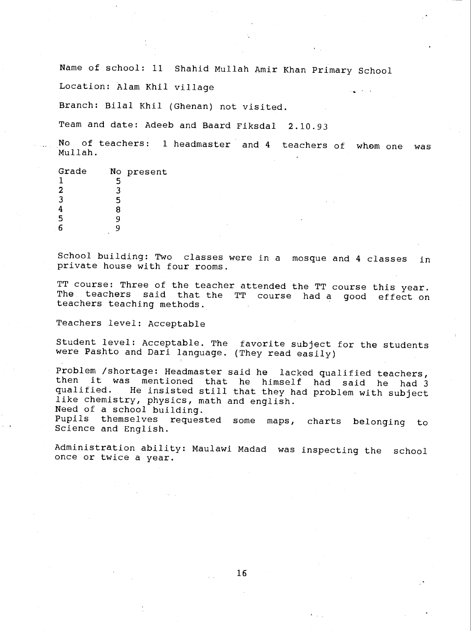Name of school: 11 Shahid Mullah Amir Khan Primary School

Location: Alam Khil village

Branch: Bilai Khil (Ghenan) not visited.

Team and date: Adeeb and Baard Fiksdal 2.10.93

No of teachers: 1 headmaster and 4 teachers of whom one was Mullah.

| Grade |        | No present |
|-------|--------|------------|
|       |        |            |
| 2     |        |            |
| 3     | г,     |            |
|       | я      |            |
| 5     |        |            |
|       | $\sim$ |            |

School building: Two classes were in a mosque and 4 classes in private house with four rooms.

TT course: Three of the teacher attended the TT course this year. The teachers said that the TT course had a good effect on teachers teaching methods.

Teachers level: Acceptable

Student level: Acceptable. The favorite subject for the students were Pashto and Dari language. (They read easily)

Problem /shortage: Headmaster said he lacked qualified teachers, then it was mentioned that he himself had said he had 3 qualified. He insisted still that they had problem with subject like chemistry, physics, math and english.

Need of a school building.

Pupils themselves requested some maps, charts belonging to Science and English.

Administration ability: Maulawi Madad was inspecting the school once or twice a year.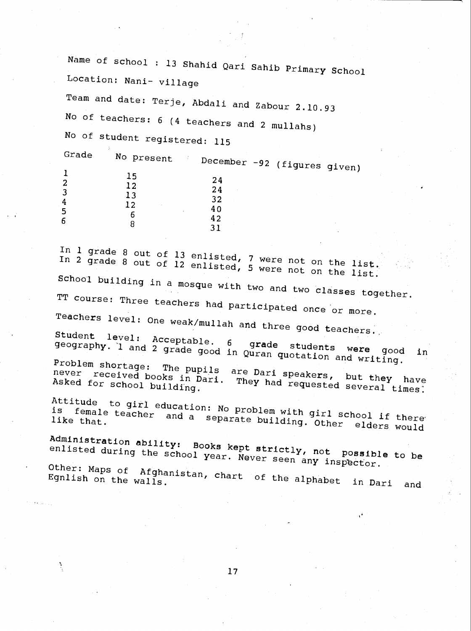Name of school : 13 Shahid Qari Sahib Primary School Location: Nani- village

Team and date: Terje, Abdali and Zabour 2.10.93 No of teachers: <sup>6</sup> (4 teachers and 2 mullahs)

No of student registered: 115

Grade No present December -92 (figures given)<br>15  $\begin{array}{cccc}\n 1 & 15 & 24 \\
2 & 12 & 24 \\
3 & 13 & 32\n \end{array}$ 4  $\frac{12}{12}$   $\frac{32}{12}$  $\begin{array}{cccc} 12 & 40 \\ 5 & 6 \\ 6 & 8 \end{array}$ 

In 1 grade 8 out of 13 enlisted, 7 were not on the list.<br>In 2 grade 8 out of 12 enlisted, 5 were not on the list.<br>School building in a mosque with two and two classes together. TT course: Three teachers had participated once or more. Teachers level: One weak/mullah and three good teachers.<br>Student level: Acceptable. 6 grade students inclu-Student level: Acceptable. 6 grade students were good in geography. 1 and 2 grade good in Quran quotation and writing.<br>Problem shortage: The pupils are Dari speakers, but they have<br>never received books in Dari. They had re never received books in Dari. They had requested several times. Attitude to girl education: No problem with girl school if there is female teacher and a separate building. Other elders would Administration ability: Books kept strictly, not possible to be enlisted during the school year. Never seen any inspector.

Other: Maps of Afghanistan, chart of the alphabet in Dari and<br>Egnlish on the walls.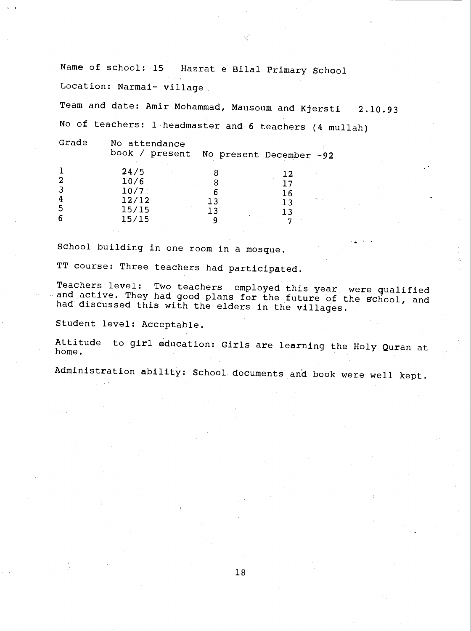Name of school: 15 Hazrat e Bilal Primary School Location: Narmai- village

Team and date: Amir Mohammad, Mausoum and Kjersti 2.10.93 No of teachers: 1 headmaster and 6 teachers (4 mullah)

Grade No attendance

book / present No present December -92

|   | 24/5     |    | 12               |
|---|----------|----|------------------|
| 2 | 10/6     |    | 17               |
| 3 | $10/7$ : |    | 16               |
| 4 | 12/12    | 13 | of the car<br>13 |
| 5 | 15/15    | 13 | ר ו              |
| 6 | 15/15    |    | 冖                |

School building in one room in a mosque.

TT course: Three teachers had participated.

Teachers level: Two teachers employed this year were qualified and active. They had good plans for the future of the school, and had discussed this with the elders in the villages.

Student level: Acceptable.

Attitude to girl education: Girls are learning the Holy Quran at home.

Administration ability: School documents and book were well kept.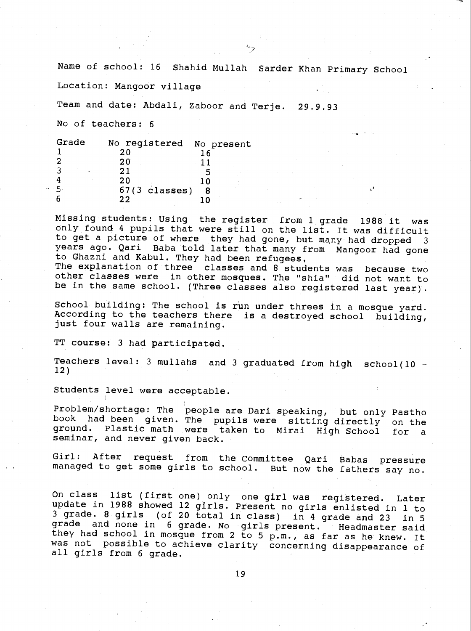Name of school: 16 Shahid Mullah Sarder Khan Primary School Location: Mangoor village Team and date: Abdali, Zaboor and Terje. 29.9.93 No of teachers: 6

| Grade | No registered No present |  |  |
|-------|--------------------------|--|--|
|       | 20                       |  |  |
|       | 20                       |  |  |
|       | 21                       |  |  |
|       | 20                       |  |  |
| 5     | $67(3 \text{ classes})$  |  |  |
|       | つつ                       |  |  |

Missing students: Using the register from 1 grade 1988 it was only found 4 pupils that were still on the list. It was difficult to get a picture of where they had gone, but many had dropped <sup>3</sup> years ago. Qari Baba told later that many from Mangoor had gone to Ghazni and Kabul. They had been refugees. The explanation of three classes and 8 students was because two

other classes were in other mosques. The "shia" did not want to be in the same school. (Three classes also registered last year).

School building: The school is run under threes in a mosque yard. According to the teachers there is a destroyed school building, just four walls are remaining.

TT course: 3 had participated.

Teachers level: 3 mullahs and 3 graduated from high school(10 - 12)

Students level were acceptable.

Problem/shortage: The people are Dari speaking, but only Pastho book had been given. The pupils were sitting directly on the ground. Plastic math were taken to Mirai High School for <sup>a</sup> seminar, and never given back.

Girl: After request from the Committee Qari Babas pressure managed to get some girls to school. But now the fathers say no.

On class list (first one) only one girl was registered. Later update in 1988 showed 12 girls. Present no girls enlisted in i to 3 grade. 8 girls (of 20 total in class) in 4 grade and 23 in 5 grade and none in 6 grade. No girls present. Headmaster said they had school in mosque from 2 to 5 p.m., as far as he knew. It was not possible to achieve clarity concerning disappearance of all girls from 6 grade.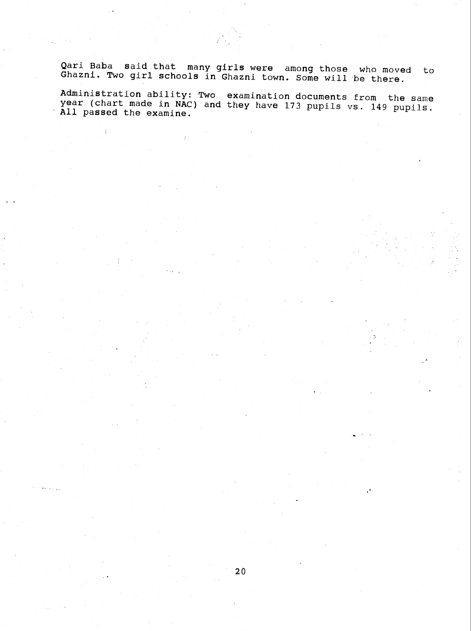Qari Baba said that many girls were among those who moved to Ghazni. Two girl schools in Ghazni town. Some will be there.

Administration ability: Two examination documents from the same year (chart made in NAC) and they have 173 pupils vs. 149 pupils.<br>All passed the examine.